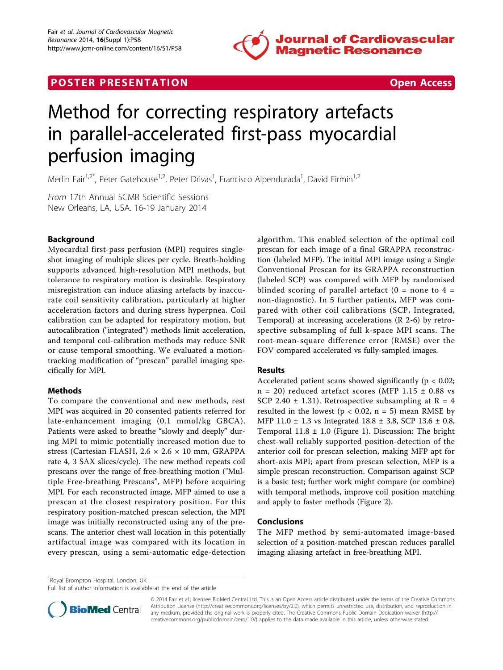

# **POSTER PRESENTATION CONSUMING THE SECOND CONSUMING THE SECOND CONSUMING THE SECOND CONSUMING THE SECOND CONSUMING THE SECOND CONSUMING THE SECOND CONSUMING THE SECOND CONSUMING THE SECOND CONSUMING THE SECOND CONSUMING**



# Method for correcting respiratory artefacts in parallel-accelerated first-pass myocardial perfusion imaging

Merlin Fair<sup>1,2\*</sup>, Peter Gatehouse<sup>1,2</sup>, Peter Drivas<sup>1</sup>, Francisco Alpendurada<sup>1</sup>, David Firmin<sup>1,2</sup>

From 17th Annual SCMR Scientific Sessions New Orleans, LA, USA. 16-19 January 2014

## Background

Myocardial first-pass perfusion (MPI) requires singleshot imaging of multiple slices per cycle. Breath-holding supports advanced high-resolution MPI methods, but tolerance to respiratory motion is desirable. Respiratory misregistration can induce aliasing artefacts by inaccurate coil sensitivity calibration, particularly at higher acceleration factors and during stress hyperpnea. Coil calibration can be adapted for respiratory motion, but autocalibration ("integrated") methods limit acceleration, and temporal coil-calibration methods may reduce SNR or cause temporal smoothing. We evaluated a motiontracking modification of "prescan" parallel imaging specifically for MPI.

#### Methods

To compare the conventional and new methods, rest MPI was acquired in 20 consented patients referred for late-enhancement imaging (0.1 mmol/kg GBCA). Patients were asked to breathe "slowly and deeply" during MPI to mimic potentially increased motion due to stress (Cartesian FLASH, 2.6 × 2.6 × 10 mm, GRAPPA rate 4, 3 SAX slices/cycle). The new method repeats coil prescans over the range of free-breathing motion ("Multiple Free-breathing Prescans", MFP) before acquiring MPI. For each reconstructed image, MFP aimed to use a prescan at the closest respiratory position. For this respiratory position-matched prescan selection, the MPI image was initially reconstructed using any of the prescans. The anterior chest wall location in this potentially artifactual image was compared with its location in every prescan, using a semi-automatic edge-detection

algorithm. This enabled selection of the optimal coil prescan for each image of a final GRAPPA reconstruction (labeled MFP). The initial MPI image using a Single Conventional Prescan for its GRAPPA reconstruction (labeled SCP) was compared with MFP by randomised blinded scoring of parallel artefact  $(0 = none$  to  $4 =$ non-diagnostic). In 5 further patients, MFP was compared with other coil calibrations (SCP, Integrated, Temporal) at increasing accelerations (R 2-6) by retrospective subsampling of full k-space MPI scans. The root-mean-square difference error (RMSE) over the FOV compared accelerated vs fully-sampled images.

#### Results

Accelerated patient scans showed significantly ( $p < 0.02$ ;  $n = 20$ ) reduced artefact scores (MFP 1.15  $\pm$  0.88 vs SCP 2.40  $\pm$  1.31). Retrospective subsampling at R = 4 resulted in the lowest ( $p < 0.02$ ,  $n = 5$ ) mean RMSE by MFP 11.0 ± 1.3 vs Integrated 18.8 ± 3.8, SCP 13.6 ± 0.8, Temporal  $11.8 \pm 1.0$  $11.8 \pm 1.0$  $11.8 \pm 1.0$  (Figure 1). Discussion: The bright chest-wall reliably supported position-detection of the anterior coil for prescan selection, making MFP apt for short-axis MPI; apart from prescan selection, MFP is a simple prescan reconstruction. Comparison against SCP is a basic test; further work might compare (or combine) with temporal methods, improve coil position matching and apply to faster methods (Figure [2\)](#page-1-0).

#### Conclusions

The MFP method by semi-automated image-based selection of a position-matched prescan reduces parallel imaging aliasing artefact in free-breathing MPI.

<sup>1</sup> Royal Brompton Hospital, London, UK

Full list of author information is available at the end of the article



© 2014 Fair et al.; licensee BioMed Central Ltd. This is an Open Access article distributed under the terms of the Creative Commons Attribution License [\(http://creativecommons.org/licenses/by/2.0](http://creativecommons.org/licenses/by/2.0)), which permits unrestricted use, distribution, and reproduction in any medium, provided the original work is properly cited. The Creative Commons Public Domain Dedication waiver [\(http://](http://creativecommons.org/publicdomain/zero/1.0/) [creativecommons.org/publicdomain/zero/1.0/](http://creativecommons.org/publicdomain/zero/1.0/)) applies to the data made available in this article, unless otherwise stated.